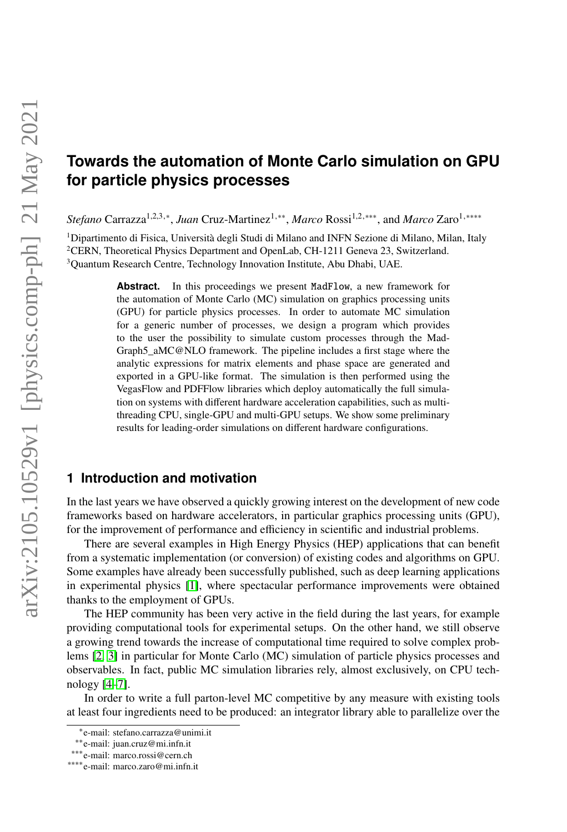# **Towards the automation of Monte Carlo simulation on GPU for particle physics processes**

*Stefano* Carrazza<sup>1,2,3,∗</sup>, *Juan* Cruz-Martinez<sup>1,∗∗</sup>, *Marco* Rossi<sup>1,2,∗∗∗</sup>, and *Marco* Zaro<sup>1,</sup>∗∗∗∗

<sup>1</sup>Dipartimento di Fisica, Università degli Studi di Milano and INFN Sezione di Milano, Milan, Italy <sup>2</sup>CERN, Theoretical Physics Department and OpenLab, CH-1211 Geneva 23, Switzerland. <sup>3</sup>Quantum Research Centre, Technology Innovation Institute, Abu Dhabi, UAE.

> **Abstract.** In this proceedings we present MadFlow, a new framework for the automation of Monte Carlo (MC) simulation on graphics processing units (GPU) for particle physics processes. In order to automate MC simulation for a generic number of processes, we design a program which provides to the user the possibility to simulate custom processes through the Mad-Graph5\_aMC@NLO framework. The pipeline includes a first stage where the analytic expressions for matrix elements and phase space are generated and exported in a GPU-like format. The simulation is then performed using the VegasFlow and PDFFlow libraries which deploy automatically the full simulation on systems with different hardware acceleration capabilities, such as multithreading CPU, single-GPU and multi-GPU setups. We show some preliminary results for leading-order simulations on different hardware configurations.

## **1 Introduction and motivation**

In the last years we have observed a quickly growing interest on the development of new code frameworks based on hardware accelerators, in particular graphics processing units (GPU), for the improvement of performance and efficiency in scientific and industrial problems.

There are several examples in High Energy Physics (HEP) applications that can benefit from a systematic implementation (or conversion) of existing codes and algorithms on GPU. Some examples have already been successfully published, such as deep learning applications in experimental physics [\[1\]](#page-5-0), where spectacular performance improvements were obtained thanks to the employment of GPUs.

The HEP community has been very active in the field during the last years, for example providing computational tools for experimental setups. On the other hand, we still observe a growing trend towards the increase of computational time required to solve complex problems [\[2,](#page-5-1) [3\]](#page-5-2) in particular for Monte Carlo (MC) simulation of particle physics processes and observables. In fact, public MC simulation libraries rely, almost exclusively, on CPU technology [\[4](#page-5-3)[–7\]](#page-5-4).

In order to write a full parton-level MC competitive by any measure with existing tools at least four ingredients need to be produced: an integrator library able to parallelize over the

<sup>∗</sup> e-mail: stefano.carrazza@unimi.it

<sup>∗∗</sup>e-mail: juan.cruz@mi.infn.it

<sup>∗∗∗</sup>e-mail: marco.rossi@cern.ch

<sup>∗∗∗∗</sup>e-mail: marco.zaro@mi.infn.it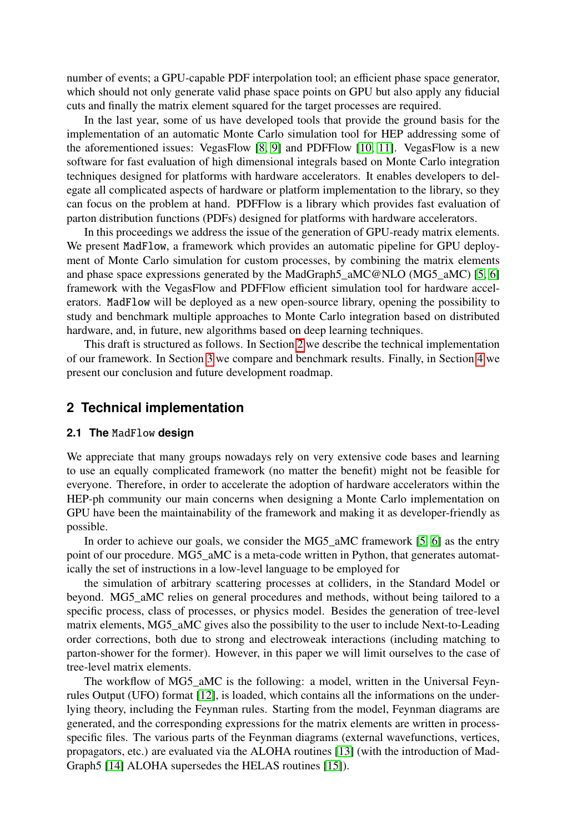number of events; a GPU-capable PDF interpolation tool; an efficient phase space generator, which should not only generate valid phase space points on GPU but also apply any fiducial cuts and finally the matrix element squared for the target processes are required.

In the last year, some of us have developed tools that provide the ground basis for the implementation of an automatic Monte Carlo simulation tool for HEP addressing some of the aforementioned issues: VegasFlow [\[8,](#page-5-5) [9\]](#page-5-6) and PDFFlow [\[10,](#page-5-7) [11\]](#page-5-8). VegasFlow is a new software for fast evaluation of high dimensional integrals based on Monte Carlo integration techniques designed for platforms with hardware accelerators. It enables developers to delegate all complicated aspects of hardware or platform implementation to the library, so they can focus on the problem at hand. PDFFlow is a library which provides fast evaluation of parton distribution functions (PDFs) designed for platforms with hardware accelerators.

In this proceedings we address the issue of the generation of GPU-ready matrix elements. We present MadFlow, a framework which provides an automatic pipeline for GPU deployment of Monte Carlo simulation for custom processes, by combining the matrix elements and phase space expressions generated by the MadGraph5\_aMC@NLO (MG5\_aMC) [\[5,](#page-5-9) [6\]](#page-5-10) framework with the VegasFlow and PDFFlow efficient simulation tool for hardware accelerators. MadFlow will be deployed as a new open-source library, opening the possibility to study and benchmark multiple approaches to Monte Carlo integration based on distributed hardware, and, in future, new algorithms based on deep learning techniques.

This draft is structured as follows. In Section [2](#page-1-0) we describe the technical implementation of our framework. In Section [3](#page-3-0) we compare and benchmark results. Finally, in Section [4](#page-4-0) we present our conclusion and future development roadmap.

### <span id="page-1-0"></span>**2 Technical implementation**

#### **2.1 The** MadFlow **design**

We appreciate that many groups nowadays rely on very extensive code bases and learning to use an equally complicated framework (no matter the benefit) might not be feasible for everyone. Therefore, in order to accelerate the adoption of hardware accelerators within the HEP-ph community our main concerns when designing a Monte Carlo implementation on GPU have been the maintainability of the framework and making it as developer-friendly as possible.

In order to achieve our goals, we consider the MG5\_aMC framework [\[5,](#page-5-9) [6\]](#page-5-10) as the entry point of our procedure. MG5\_aMC is a meta-code written in Python, that generates automatically the set of instructions in a low-level language to be employed for

the simulation of arbitrary scattering processes at colliders, in the Standard Model or beyond. MG5\_aMC relies on general procedures and methods, without being tailored to a specific process, class of processes, or physics model. Besides the generation of tree-level matrix elements, MG5 aMC gives also the possibility to the user to include Next-to-Leading order corrections, both due to strong and electroweak interactions (including matching to parton-shower for the former). However, in this paper we will limit ourselves to the case of tree-level matrix elements.

The workflow of MG5\_aMC is the following: a model, written in the Universal Feynrules Output (UFO) format [\[12\]](#page-5-11), is loaded, which contains all the informations on the underlying theory, including the Feynman rules. Starting from the model, Feynman diagrams are generated, and the corresponding expressions for the matrix elements are written in processspecific files. The various parts of the Feynman diagrams (external wavefunctions, vertices, propagators, etc.) are evaluated via the ALOHA routines [\[13\]](#page-5-12) (with the introduction of Mad-Graph5 [\[14\]](#page-5-13) ALOHA supersedes the HELAS routines [\[15\]](#page-5-14)).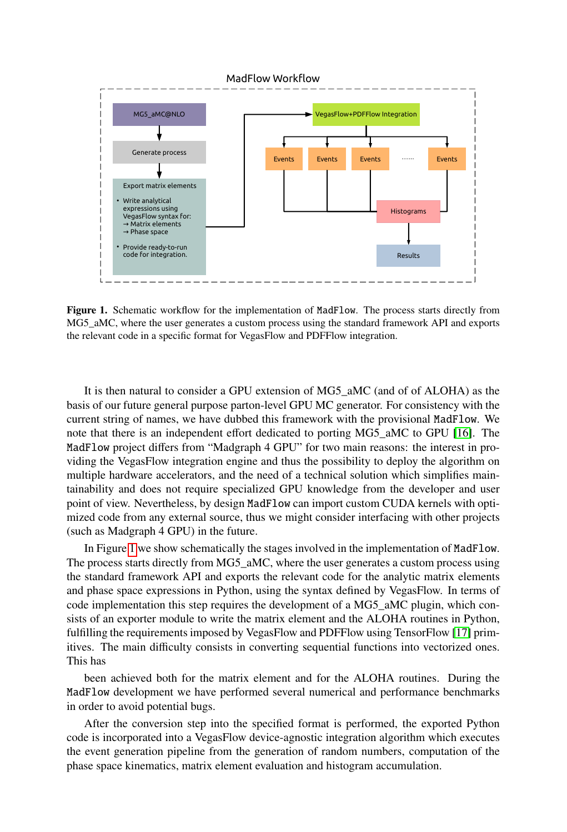

<span id="page-2-0"></span>Figure 1. Schematic workflow for the implementation of MadFlow. The process starts directly from MG5 aMC, where the user generates a custom process using the standard framework API and exports the relevant code in a specific format for VegasFlow and PDFFlow integration.

It is then natural to consider a GPU extension of MG5\_aMC (and of of ALOHA) as the basis of our future general purpose parton-level GPU MC generator. For consistency with the current string of names, we have dubbed this framework with the provisional MadFlow. We note that there is an independent effort dedicated to porting MG5\_aMC to GPU [\[16\]](#page-5-15). The MadFlow project differs from "Madgraph 4 GPU" for two main reasons: the interest in providing the VegasFlow integration engine and thus the possibility to deploy the algorithm on multiple hardware accelerators, and the need of a technical solution which simplifies maintainability and does not require specialized GPU knowledge from the developer and user point of view. Nevertheless, by design MadFlow can import custom CUDA kernels with optimized code from any external source, thus we might consider interfacing with other projects (such as Madgraph 4 GPU) in the future.

In Figure [1](#page-2-0) we show schematically the stages involved in the implementation of MadFlow. The process starts directly from MG5 aMC, where the user generates a custom process using the standard framework API and exports the relevant code for the analytic matrix elements and phase space expressions in Python, using the syntax defined by VegasFlow. In terms of code implementation this step requires the development of a MG5\_aMC plugin, which consists of an exporter module to write the matrix element and the ALOHA routines in Python, fulfilling the requirements imposed by VegasFlow and PDFFlow using TensorFlow [\[17\]](#page-5-16) primitives. The main difficulty consists in converting sequential functions into vectorized ones. This has

been achieved both for the matrix element and for the ALOHA routines. During the MadFlow development we have performed several numerical and performance benchmarks in order to avoid potential bugs.

After the conversion step into the specified format is performed, the exported Python code is incorporated into a VegasFlow device-agnostic integration algorithm which executes the event generation pipeline from the generation of random numbers, computation of the phase space kinematics, matrix element evaluation and histogram accumulation.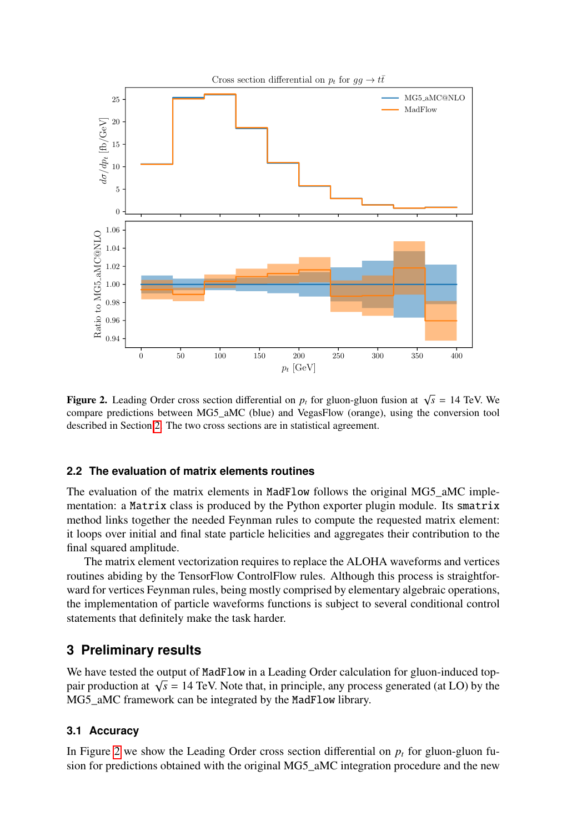

<span id="page-3-1"></span>**Figure 2.** Leading Order cross section differential on  $p_t$  for gluon-gluon fusion at  $\sqrt{s} = 14$  TeV. We compare predictions between MG5\_aMC (blue) and VegasFlow (orange), using the conversion tool described in Section [2.](#page-1-0) The two cross sections are in statistical agreement.

#### **2.2 The evaluation of matrix elements routines**

The evaluation of the matrix elements in MadFlow follows the original MG5\_aMC implementation: a Matrix class is produced by the Python exporter plugin module. Its smatrix method links together the needed Feynman rules to compute the requested matrix element: it loops over initial and final state particle helicities and aggregates their contribution to the final squared amplitude.

The matrix element vectorization requires to replace the ALOHA waveforms and vertices routines abiding by the TensorFlow ControlFlow rules. Although this process is straightforward for vertices Feynman rules, being mostly comprised by elementary algebraic operations, the implementation of particle waveforms functions is subject to several conditional control statements that definitely make the task harder.

## <span id="page-3-0"></span>**3 Preliminary results**

We have tested the output of MadFlow in a Leading Order calculation for gluon-induced topwe have tested the output of ridur flow in a Leading Order calculation for gluon-induced top-<br>pair production at  $\sqrt{s}$  = 14 TeV. Note that, in principle, any process generated (at LO) by the MG5 aMC framework can be integrated by the MadFlow library.

### **3.1 Accuracy**

In Figure [2](#page-3-1) we show the Leading Order cross section differential on  $p<sub>t</sub>$  for gluon-gluon fusion for predictions obtained with the original MG5 aMC integration procedure and the new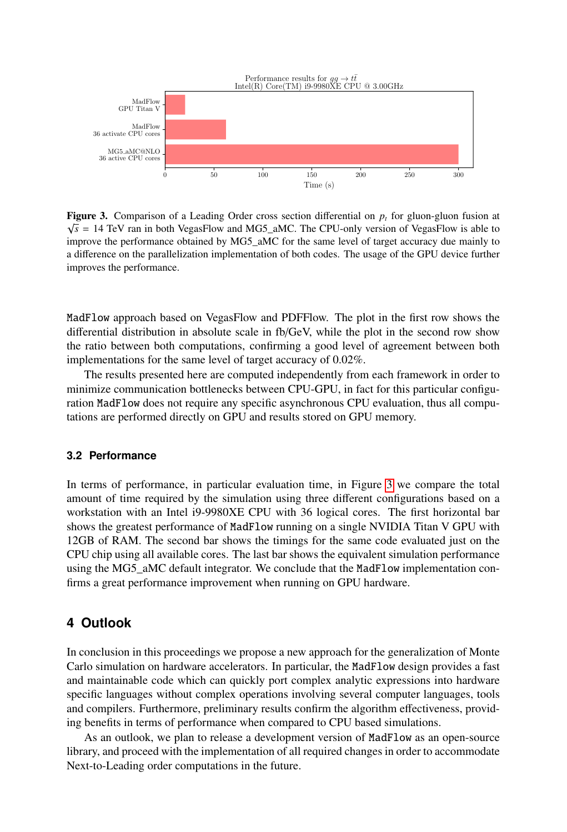

<span id="page-4-1"></span>**Figure 3.** Comparison of a Leading Order cross section differential on  $p_t$  for gluon-gluon fusion at  $\overline{p}_t$  $\sqrt{s}$  = 14 TeV ran in both VegasFlow and MG5\_aMC. The CPU-only version of VegasFlow is able to improve the performance obtained by MG5\_aMC for the same level of target accuracy due mainly to a difference on the parallelization implementation of both codes. The usage of the GPU device further improves the performance.

MadFlow approach based on VegasFlow and PDFFlow. The plot in the first row shows the differential distribution in absolute scale in fb/GeV, while the plot in the second row show the ratio between both computations, confirming a good level of agreement between both implementations for the same level of target accuracy of 0.02%.

The results presented here are computed independently from each framework in order to minimize communication bottlenecks between CPU-GPU, in fact for this particular configuration MadFlow does not require any specific asynchronous CPU evaluation, thus all computations are performed directly on GPU and results stored on GPU memory.

#### **3.2 Performance**

In terms of performance, in particular evaluation time, in Figure [3](#page-4-1) we compare the total amount of time required by the simulation using three different configurations based on a workstation with an Intel i9-9980XE CPU with 36 logical cores. The first horizontal bar shows the greatest performance of MadFlow running on a single NVIDIA Titan V GPU with 12GB of RAM. The second bar shows the timings for the same code evaluated just on the CPU chip using all available cores. The last bar shows the equivalent simulation performance using the MG5\_aMC default integrator. We conclude that the MadFlow implementation confirms a great performance improvement when running on GPU hardware.

# <span id="page-4-0"></span>**4 Outlook**

In conclusion in this proceedings we propose a new approach for the generalization of Monte Carlo simulation on hardware accelerators. In particular, the MadFlow design provides a fast and maintainable code which can quickly port complex analytic expressions into hardware specific languages without complex operations involving several computer languages, tools and compilers. Furthermore, preliminary results confirm the algorithm effectiveness, providing benefits in terms of performance when compared to CPU based simulations.

As an outlook, we plan to release a development version of MadFlow as an open-source library, and proceed with the implementation of all required changes in order to accommodate Next-to-Leading order computations in the future.